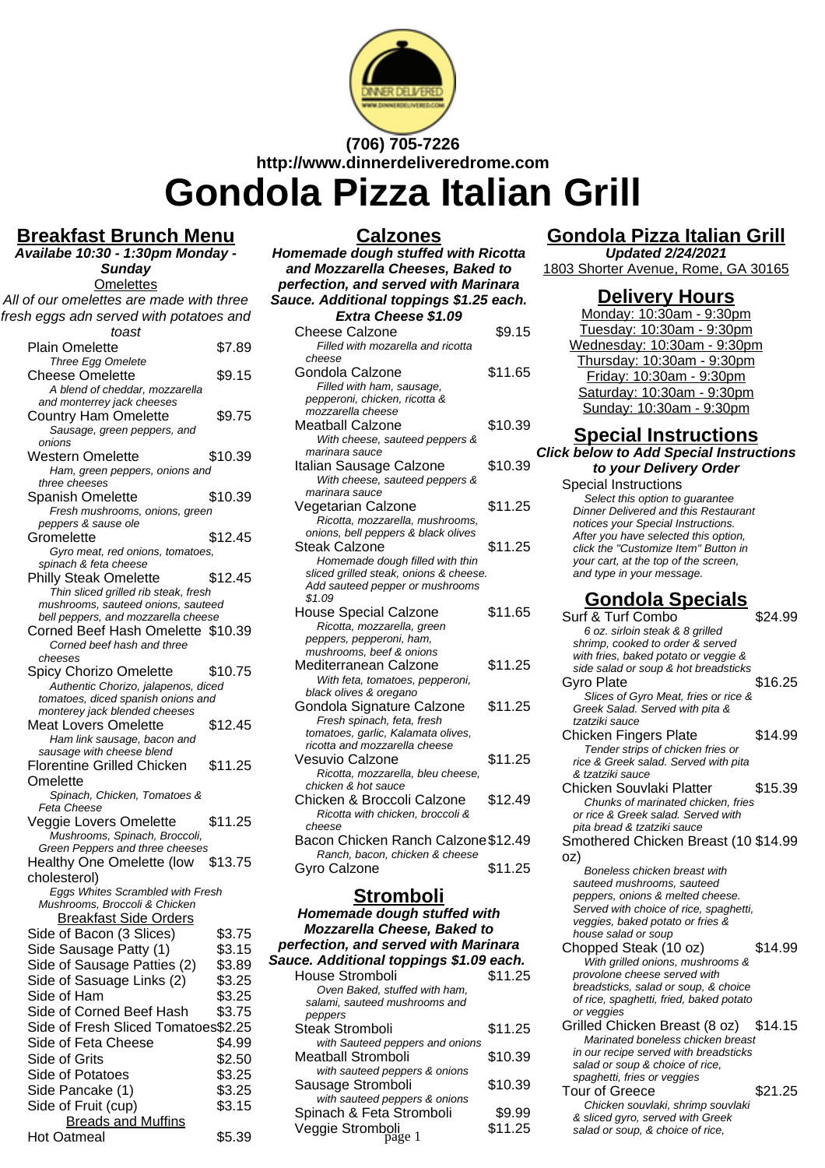

# **(706) 705-7226 http://www.dinnerdeliveredrome.com Gondola Pizza Italian Grill**

### **Breakfast Brunch Menu**

**Availabe 10:30 - 1:30pm Monday - Sunday Omelettes** All of our omelettes are made with three fresh eggs adn served with potatoes and toast Plain Omelette \$7.89 Three Egg Omelete Cheese Omelette \$9.15 A blend of cheddar, mozzarella and monterrey jack cheeses Country Ham Omelette \$9.75 Sausage, green peppers, and onions Western Omelette \$10.39 Ham, green peppers, onions and three cheeses Spanish Omelette \$10.39 Fresh mushrooms, onions, green peppers & sause ole Gromelette \$12.45 Gyro meat, red onions, tomatoes, spinach & feta cheese Philly Steak Omelette \$12.45 Thin sliced grilled rib steak, fresh mushrooms, sauteed onions, sauteed bell peppers, and mozzarella cheese Corned Beef Hash Omelette \$10.39 Corned beef hash and three cheeses Spicy Chorizo Omelette \$10.75 Authentic Chorizo, jalapenos, diced tomatoes, diced spanish onions and monterey jack blended cheeses Meat Lovers Omelette \$12.45 Ham link sausage, bacon and sausage with cheese blend Florentine Grilled Chicken **Omelette** \$11.25 Spinach, Chicken, Tomatoes & Feta Cheese Veggie Lovers Omelette \$11.25 Mushrooms, Spinach, Broccoli, Green Peppers and three cheeses Healthy One Omelette (low \$13.75 cholesterol) Eggs Whites Scrambled with Fresh Mushrooms, Broccoli & Chicken Breakfast Side Orders Side of Bacon (3 Slices) \$3.75 Side Sausage Patty (1) \$3.15 Side of Sausage Patties (2) \$3.89 Side of Sasuage Links (2) \$3.25 Side of Ham  $$3.25$ Side of Corned Beef Hash \$3.75 Side of Fresh Sliced Tomatoes\$2.25 Side of Feta Cheese \$4.99 Side of Grits \$2.50 Side of Potatoes \$3.25 Side Pancake (1) \$3.25

Side of Fruit (cup) \$3.15 **Breads and Muffins** Hot Oatmeal \$5.39

### **Calzones**

**Homemade dough stuffed with Ricotta and Mozzarella Cheeses, Baked to perfection, and served with Marinara Sauce. Additional toppings \$1.25 each. Extra Cheese \$1.09** Cheese Calzone \$9.15 Filled with mozarella and ricotta cheese Gondola Calzone \$11.65 Filled with ham, sausage, pepperoni, chicken, ricotta & mozzarella cheese Meatball Calzone \$10.39 With cheese, sauteed peppers & marinara sauce Italian Sausage Calzone \$10.39 With cheese, sauteed peppers & marinara sauce Vegetarian Calzone \$11.25 Ricotta, mozzarella, mushrooms, onions, bell peppers & black olives Steak Calzone \$11.25 Homemade dough filled with thin sliced grilled steak, onions & cheese. Add sauteed pepper or mushrooms \$1.09 House Special Calzone \$11.65 Ricotta, mozzarella, green peppers, pepperoni, ham, mushrooms, beef & onions Mediterranean Calzone \$11.25 With feta, tomatoes, pepperoni, black olives & oregano Gondola Signature Calzone \$11.25 Fresh spinach, feta, fresh tomatoes, garlic, Kalamata olives, ricotta and mozzarella cheese Vesuvio Calzone \$11.25 Ricotta, mozzarella, bleu cheese, chicken & hot sauce Chicken & Broccoli Calzone \$12.49 Ricotta with chicken, broccoli & cheese Bacon Chicken Ranch Calzone\$12.49 Ranch, bacon, chicken & cheese Gyro Calzone  $$11.25$ 

#### **Stromboli**

**Homemade dough stuffed with Mozzarella Cheese, Baked to perfection, and served with Marinara Sauce. Additional toppings \$1.09 each.** House Stromboli **\$11.25** Oven Baked, stuffed with ham, salami, sauteed mushrooms and peppers Steak Stromboli \$11.25 with Sauteed peppers and onions Meatball Stromboli \$10.39 with sauteed peppers & onions Sausage Stromboli \$10.39 with sauteed peppers & onions Spinach & Feta Stromboli \$9.99 Veggie Stromboli<br>
page 1 \$11.25

# **Gondola Pizza Italian Grill**

**Updated 2/24/2021** 1803 Shorter Avenue, Rome, GA 30165

#### **Delivery Hours**

Monday: 10:30am - 9:30pm Tuesday: 10:30am - 9:30pm Wednesday: 10:30am - 9:30pm Thursday: 10:30am - 9:30pm Friday: 10:30am - 9:30pm Saturday: 10:30am - 9:30pm Sunday: 10:30am - 9:30pm

# **Special Instructions**

**Click below to Add Special Instructions to your Delivery Order**

Special Instructions Select this option to quarantee Dinner Delivered and this Restaurant notices your Special Instructions. After you have selected this option, click the "Customize Item" Button in your cart, at the top of the screen, and type in your message.

# **Gondola Specials**

| Calzone<br>arella, green<br>roni, ham,<br>ef & onions | \$11.65 | Surf & Turf Combo<br>6 oz. sirloin steak & 8 grilled<br>shrimp, cooked to order & served<br>with fries, baked potato or veggie & | \$24.99 |
|-------------------------------------------------------|---------|----------------------------------------------------------------------------------------------------------------------------------|---------|
| Calzone                                               | \$11.25 | side salad or soup & hot breadsticks                                                                                             |         |
| atoes, pepperoni,<br>regano                           |         | Gyro Plate                                                                                                                       | \$16.25 |
| iture Calzone<br>ı, feta, fresh                       | \$11.25 | Slices of Gyro Meat, fries or rice &<br>Greek Salad. Served with pita &<br>tzatziki sauce                                        |         |
| , Kalamata olives,<br>zarella cheese                  |         | Chicken Fingers Plate                                                                                                            | \$14.99 |
| ne<br>arella, bleu cheese,                            | \$11.25 | Tender strips of chicken fries or<br>rice & Greek salad. Served with pita<br>& tzatziki sauce                                    |         |
| аисе                                                  |         | Chicken Souvlaki Platter                                                                                                         | \$15.39 |
| ccoli Calzone<br>hicken, broccoli &                   | \$12.49 | Chunks of marinated chicken, fries<br>or rice & Greek salad. Served with<br>pita bread & tzatziki sauce                          |         |
| n Ranch Calzone \$12.49                               |         | Smothered Chicken Breast (10 \$14.99                                                                                             |         |
| , chicken & cheese                                    |         | oz)                                                                                                                              |         |
|                                                       | \$11.25 | Boneless chicken breast with<br>sauteed mushrooms, sauteed                                                                       |         |
| <u>əmboli</u>                                         |         | peppers, onions & melted cheese.                                                                                                 |         |
| ough stuffed with                                     |         | Served with choice of rice, spaghetti,                                                                                           |         |
| Cheese, Baked to                                      |         | veggies, baked potato or fries &<br>house salad or soup                                                                          |         |
| served with Marinara                                  |         | Chopped Steak (10 oz)                                                                                                            | \$14.99 |
| toppings \$1.09 each.                                 |         | With grilled onions, mushrooms &                                                                                                 |         |
| oli                                                   | \$11.25 | provolone cheese served with                                                                                                     |         |
| stuffed with ham.                                     |         | breadsticks, salad or soup, & choice                                                                                             |         |
| mushrooms and                                         |         | of rice, spaghetti, fried, baked potato<br>or veggies                                                                            |         |
| ۱li                                                   | \$11.25 | Grilled Chicken Breast (8 oz)                                                                                                    | \$14.15 |
| peppers and onions                                    |         | Marinated boneless chicken breast                                                                                                |         |
| ıboli                                                 | \$10.39 | in our recipe served with breadsticks<br>salad or soup & choice of rice,                                                         |         |
| peppers & onions                                      |         | spaghetti, fries or veggies                                                                                                      |         |
| nboli                                                 | \$10.39 | Tour of Greece                                                                                                                   | \$21.25 |
| peppers & onions                                      |         | Chicken souvlaki, shrimp souvlaki                                                                                                |         |
| a Stromboli                                           | \$9.99  | & sliced gyro, served with Greek                                                                                                 |         |
| oli<br>page 1                                         | \$11.25 | salad or soup, & choice of rice,                                                                                                 |         |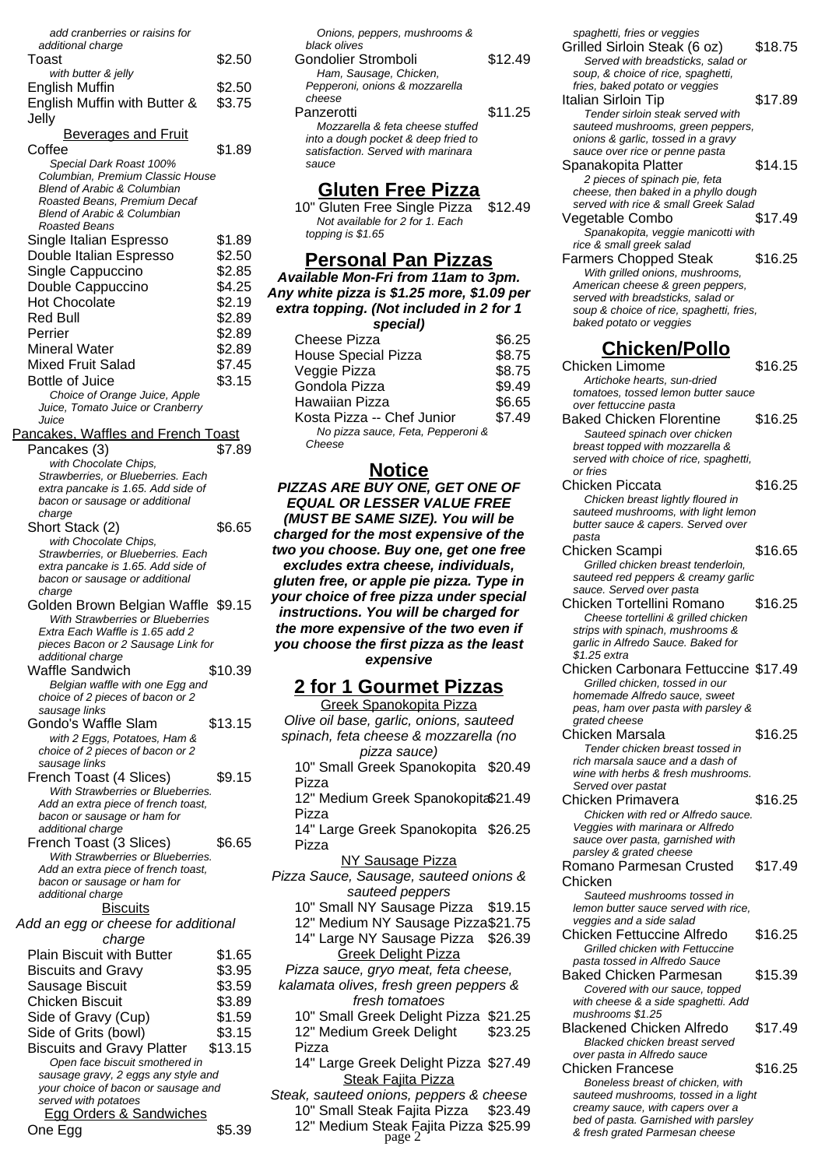| add cranberries or raisins for         |         |
|----------------------------------------|---------|
| additional charge                      |         |
| Toast                                  | \$2.50  |
| with butter & jelly                    |         |
| <b>English Muffin</b>                  | \$2.50  |
|                                        |         |
| English Muffin with Butter &           | \$3.75  |
| Jelly                                  |         |
| <b>Beverages and Fruit</b>             |         |
| Coffee                                 | \$1.89  |
|                                        |         |
| Special Dark Roast 100%                |         |
| Columbian, Premium Classic House       |         |
| <b>Blend of Arabic &amp; Columbian</b> |         |
| Roasted Beans, Premium Decaf           |         |
| <b>Blend of Arabic &amp; Columbian</b> |         |
| Roasted Beans                          |         |
| Single Italian Espresso                | \$1.89  |
| Double Italian Espresso                | \$2.50  |
| Single Cappuccino                      | \$2.85  |
|                                        |         |
| Double Cappuccino                      | \$4.25  |
| <b>Hot Chocolate</b>                   | \$2.19  |
| <b>Red Bull</b>                        | \$2.89  |
| Perrier                                | \$2.89  |
|                                        |         |
| <b>Mineral Water</b>                   | \$2.89  |
| <b>Mixed Fruit Salad</b>               | \$7.45  |
| <b>Bottle of Juice</b>                 | \$3.15  |
|                                        |         |
| Choice of Orange Juice, Apple          |         |
| Juice, Tomato Juice or Cranberry       |         |
| Juice                                  |         |
| Pancakes, Waffles and French Toast     |         |
| Pancakes (3)                           | \$7.89  |
| with Chocolate Chips,                  |         |
| Strawberries, or Blueberries. Each     |         |
| extra pancake is 1.65. Add side of     |         |
| bacon or sausage or additional         |         |
| charge                                 |         |
| Short Stack (2)                        | \$6.65  |
|                                        |         |
| with Chocolate Chips,                  |         |
| Strawberries, or Blueberries. Each     |         |
| extra pancake is 1.65. Add side of     |         |
| bacon or sausage or additional         |         |
| charge                                 |         |
| Golden Brown Belgian Waffle \$9.15     |         |
| With Strawberries or Blueberries       |         |
| Extra Each Waffle is 1.65 add 2        |         |
| pieces Bacon or 2 Sausage Link for     |         |
| additional charge                      |         |
| Waffle Sandwich                        | \$10.39 |
| Belgian waffle with one Egg and        |         |
| choice of 2 pieces of bacon or 2       |         |
| sausage links                          |         |
|                                        | \$13.15 |
| Gondo's Waffle Slam                    |         |
| with 2 Eggs, Potatoes, Ham &           |         |
| choice of 2 pieces of bacon or 2       |         |
| sausage links                          |         |
| French Toast (4 Slices)                | \$9.15  |
| With Strawberries or Blueberries.      |         |
| Add an extra piece of french toast,    |         |
| bacon or sausage or ham for            |         |
| additional charge                      |         |
| French Toast (3 Slices)                | \$6.65  |
| With Strawberries or Blueberries.      |         |
| Add an extra piece of french toast,    |         |
| bacon or sausage or ham for            |         |
| additional charge                      |         |
|                                        |         |
| <b>Biscuits</b>                        |         |
| Add an egg or cheese for additional    |         |
| charge                                 |         |
| <b>Plain Biscuit with Butter</b>       | \$1.65  |
|                                        |         |
| <b>Biscuits and Gravy</b>              | \$3.95  |
| Sausage Biscuit                        | \$3.59  |
| Chicken Biscuit                        | \$3.89  |
|                                        |         |
| Side of Gravy (Cup)                    |         |
| Side of Grits (bowl)                   | \$1.59  |
|                                        | \$3.15  |
|                                        |         |
| <b>Biscuits and Gravy Platter</b>      | \$13.15 |
| Open face biscuit smothered in         |         |
| sausage gravy, 2 eggs any style and    |         |
| your choice of bacon or sausage and    |         |
| served with potatoes                   |         |
| Egg Orders & Sandwiches<br>One Egg     | \$5.39  |

| \$12.49 |
|---------|
|         |
|         |
|         |
| \$11.25 |
|         |
|         |
|         |
|         |
|         |
|         |

#### **Gluten Free Pizza**

10" Gluten Free Single Pizza \$12.49 Not available for 2 for 1. Each topping is \$1.65

#### **Personal Pan Pizzas**

**Available Mon-Fri from 11am to 3pm. Any white pizza is \$1.25 more, \$1.09 per extra topping. (Not included in 2 for 1 special)**

| Cheese Pizza                      | \$6.25 |
|-----------------------------------|--------|
| House Special Pizza               | \$8.75 |
| Veggie Pizza                      | \$8.75 |
| Gondola Pizza                     | \$9.49 |
| Hawaiian Pizza                    | \$6.65 |
| Kosta Pizza -- Chef Junior        | \$7.49 |
| No pizza sauce, Feta, Pepperoni & |        |
| Cheese                            |        |

#### **Notice**

**PIZZAS ARE BUY ONE, GET ONE OF EQUAL OR LESSER VALUE FREE (MUST BE SAME SIZE). You will be charged for the most expensive of the two you choose. Buy one, get one free excludes extra cheese, individuals, gluten free, or apple pie pizza. Type in your choice of free pizza under special instructions. You will be charged for the more expensive of the two even if you choose the first pizza as the least expensive**

#### **2 for 1 Gourmet Pizzas**

Greek Spanokopita Pizza Olive oil base, garlic, onions, sauteed spinach, feta cheese & mozzarella (no pizza sauce) 10" Small Greek Spanokopita \$20.49 Pizza 12" Medium Greek Spanokopita \$21.49 Pizza 14" Large Greek Spanokopita \$26.25 Pizza NY Sausage Pizza Pizza Sauce, Sausage, sauteed onions & sauteed peppers 10" Small NY Sausage Pizza \$19.15 12" Medium NY Sausage Pizza\$21.75 14" Large NY Sausage Pizza \$26.39 Greek Delight Pizza Pizza sauce, gryo meat, feta cheese, kalamata olives, fresh green peppers & fresh tomatoes 10" Small Greek Delight Pizza \$21.25 12" Medium Greek Delight Pizza \$23.25 14" Large Greek Delight Pizza \$27.49 **Steak Fajita Pizza** 

Steak, sauteed onions, peppers & cheese 10" Small Steak Fajita Pizza \$23.49 12" Medium Steak Fajita Pizza \$25.99<br>page 2<br>*k fresh grated Parmesan cheese* bagge 2

spaghetti, fries or veggies Grilled Sirloin Steak (6 oz) \$18.75 Served with breadsticks, salad or soup, & choice of rice, spaghetti, fries, baked potato or veggies Italian Sirloin Tip \$17.89 Tender sirloin steak served with sauteed mushrooms, green peppers, onions & garlic, tossed in a gravy sauce over rice or penne pasta Spanakopita Platter \$14.15 2 pieces of spinach pie, feta cheese, then baked in a phyllo dough served with rice & small Greek Salad Vegetable Combo \$17.49 Spanakopita, veggie manicotti with rice & small greek salad Farmers Chopped Steak \$16.25

With grilled onions, mushrooms, American cheese & green peppers. served with breadsticks, salad or soup & choice of rice, spaghetti, fries, baked potato or veggies

### **Chicken/Pollo**

Chicken Limome \$16.25 Artichoke hearts, sun-dried tomatoes, tossed lemon butter sauce over fettuccine pasta Baked Chicken Florentine \$16.25 Sauteed spinach over chicken breast topped with mozzarella & served with choice of rice, spaghetti, or fries Chicken Piccata \$16.25 Chicken breast lightly floured in sauteed mushrooms, with light lemon butter sauce & capers. Served over pasta Chicken Scampi \$16.65 Grilled chicken breast tenderloin, sauteed red peppers & creamy garlic sauce. Served over pasta Chicken Tortellini Romano \$16.25 Cheese tortellini & grilled chicken strips with spinach, mushrooms & garlic in Alfredo Sauce. Baked for \$1.25 extra Chicken Carbonara Fettuccine \$17.49 Grilled chicken, tossed in our homemade Alfredo sauce, sweet peas, ham over pasta with parsley & grated cheese Chicken Marsala  $$16.25$ Tender chicken breast tossed in rich marsala sauce and a dash of wine with herbs & fresh mushrooms. Served over pastat Chicken Primavera \$16.25 Chicken with red or Alfredo sauce. Veggies with marinara or Alfredo sauce over pasta, garnished with parsley & grated cheese Romano Parmesan Crusted Chicken \$17.49 Sauteed mushrooms tossed in lemon butter sauce served with rice, veggies and a side salad Chicken Fettuccine Alfredo \$16.25 Grilled chicken with Fettuccine pasta tossed in Alfredo Sauce Baked Chicken Parmesan \$15.39 Covered with our sauce, topped with cheese & a side spaghetti. Add mushrooms \$1.25 Blackened Chicken Alfredo \$17.49 Blacked chicken breast served over pasta in Alfredo sauce Chicken Francese \$16.25 Boneless breast of chicken, with sauteed mushrooms, tossed in a light creamy sauce, with capers over a bed of pasta. Garnished with parsley<br>& fresh grated Parmesan cheese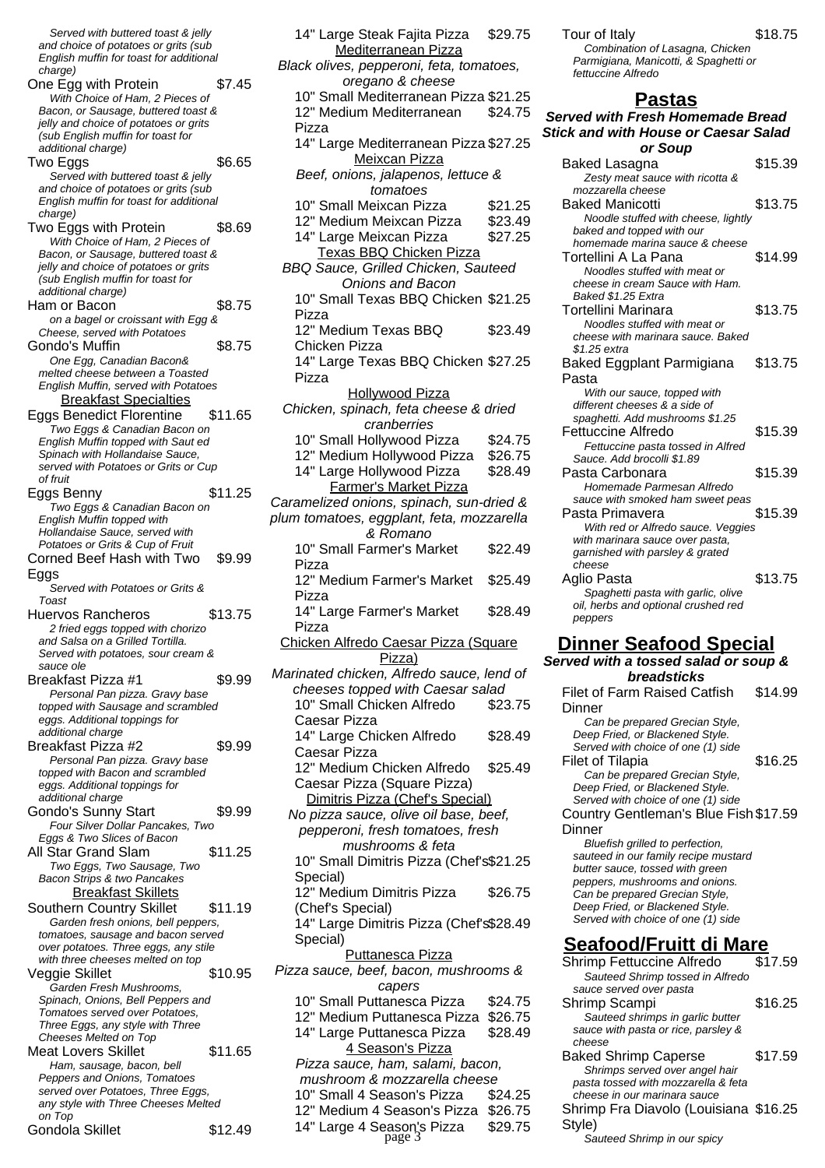Served with buttered toast & jelly and choice of potatoes or grits (sub English muffin for toast for additional charge) One Egg with Protein \$7.45 With Choice of Ham, 2 Pieces of Bacon, or Sausage, buttered toast & jelly and choice of potatoes or grits (sub English muffin for toast for additional charge) Two Eggs \$6.65 Served with buttered toast & jelly and choice of potatoes or grits (sub English muffin for toast for additional  $charce)$ Two Eggs with Protein \$8.69 With Choice of Ham, 2 Pieces of Bacon, or Sausage, buttered toast & jelly and choice of potatoes or grits (sub English muffin for toast for additional charge) Ham or Bacon \$8.75 on a bagel or croissant with Egg & Cheese, served with Potatoes Gondo's Muffin **\$8.75** One Egg, Canadian Bacon& melted cheese between a Toasted English Muffin, served with Potatoes Breakfast Specialties Eggs Benedict Florentine \$11.65 Two Eggs & Canadian Bacon on English Muffin topped with Saut ed Spinach with Hollandaise Sauce, served with Potatoes or Grits or Cup of fruit Eggs Benny \$11.25 ,<br>Two Eggs & Canadian Bacon on English Muffin topped with Hollandaise Sauce, served with Potatoes or Grits & Cup of Fruit Corned Beef Hash with Two Eggs \$9.99 Served with Potatoes or Grits & Toast Huervos Rancheros \$13.75 2 fried eggs topped with chorizo and Salsa on a Grilled Tortilla. Served with potatoes, sour cream & sauce ole Breakfast Pizza #1 \$9.99 Personal Pan pizza. Gravy base topped with Sausage and scrambled eggs. Additional toppings for additional charge Breakfast Pizza #2 \$9.99 Personal Pan pizza. Gravy base topped with Bacon and scrambled eggs. Additional toppings for additional charge Gondo's Sunny Start \$9.99 Four Silver Dollar Pancakes, Two Eggs & Two Slices of Bacon All Star Grand Slam \$11.25 Two Eggs, Two Sausage, Two Bacon Strips & two Pancakes **Breakfast Skillets** Southern Country Skillet \$11.19 Garden fresh onions, bell peppers, tomatoes, sausage and bacon served over potatoes. Three eggs, any stile with three cheeses melted on top Veggie Skillet  $$10.95$ Garden Fresh Mushrooms, Spinach, Onions, Bell Peppers and Tomatoes served over Potatoes, Three Eggs, any style with Three Cheeses Melted on Top Meat Lovers Skillet \$11.65 Ham, sausage, bacon, bell Peppers and Onions, Tomatoes served over Potatoes, Three Eggs, any style with Three Cheeses Melted on Top Gondola Skillet \$12.49

| 14" Large Steak Fajita Pizza                                                   | \$29.75 |
|--------------------------------------------------------------------------------|---------|
| Mediterranean Pizza<br>Black olives, pepperoni, feta, tomatoes,                |         |
| oregano & cheese                                                               |         |
| 10" Small Mediterranean Pizza \$21.25                                          |         |
| 12" Medium Mediterranean                                                       | \$24.75 |
| Pizza                                                                          |         |
| 14" Large Mediterranean Pizza \$27.25<br>Meixcan Pizza                         |         |
| Beef, onions, jalapenos, lettuce &<br>tomatoes                                 |         |
| 10" Small Meixcan Pizza                                                        | \$21.25 |
| 12" Medium Meixcan Pizza                                                       | \$23.49 |
| 14" Large Meixcan Pizza                                                        | \$27.25 |
| Texas BBQ Chicken Pizza<br>BBQ Sauce, Grilled Chicken, Sauteed                 |         |
| Onions and Bacon                                                               |         |
| 10" Small Texas BBQ Chicken \$21.25<br>Pizza                                   |         |
| 12" Medium Texas BBQ<br>Chicken Pizza                                          | \$23.49 |
| 14" Large Texas BBQ Chicken \$27.25                                            |         |
| Pizza                                                                          |         |
| <b>Hollywood Pizza</b><br>Chicken, spinach, feta cheese & dried<br>cranberries |         |
| 10" Small Hollywood Pizza                                                      | \$24.75 |
| 12" Medium Hollywood Pizza                                                     | \$26.75 |
| 14" Large Hollywood Pizza                                                      | \$28.49 |
| Farmer's Market Pizza                                                          |         |
| Caramelized onions, spinach, sun-dried &                                       |         |
| plum tomatoes, eggplant, feta, mozzarella<br>& Romano                          |         |
| 10" Small Farmer's Market<br>Pizza                                             | \$22.49 |
| 12" Medium Farmer's Market<br>Pizza                                            | \$25.49 |
| 14" Large Farmer's Market<br>Pizza                                             | \$28.49 |
| Chicken Alfredo Caesar Pizza (Square<br>Pizza)                                 |         |
| Marinated chicken, Alfredo sauce, lend of                                      |         |
| cheeses topped with Caesar salad                                               |         |
| 10" Small Chicken Alfredo<br>Caesar Pizza                                      | \$23.75 |
| 14" Large Chicken Alfredo                                                      | \$28.49 |
| Caesar Pizza                                                                   |         |
| 12" Medium Chicken Alfredo<br>Caesar Pizza (Square Pizza)                      | \$25.49 |
| Dimitris Pizza (Chef's Special)                                                |         |
| No pizza sauce, olive oil base, beef,                                          |         |
| pepperoni, fresh tomatoes, fresh                                               |         |
| mushrooms & feta                                                               |         |
| 10" Small Dimitris Pizza (Chef's\$21.25                                        |         |
| Special)                                                                       |         |
| 12" Medium Dimitris Pizza<br>(Chef's Special)                                  | \$26.75 |
| 14" Large Dimitris Pizza (Chef's\$28.49<br>Special)                            |         |
| <b>Puttanesca Pizza</b>                                                        |         |
| Pizza sauce, beef, bacon, mushrooms &<br>capers                                |         |
| 10" Small Puttanesca Pizza                                                     | \$24.75 |
| 12" Medium Puttanesca Pizza                                                    | \$26.75 |
| 14" Large Puttanesca Pizza<br>4 Season's Pizza                                 | \$28.49 |
| Pizza sauce, ham, salami, bacon,                                               |         |
| mushroom & mozzarella cheese                                                   |         |
| 10" Small 4 Season's Pizza                                                     | \$24.25 |
| 12" Medium 4 Season's Pizza \$26.75                                            |         |
| 14" Large 4 Season's Pizza<br>page 3                                           | \$29.75 |
|                                                                                |         |

| Tour of Italy           |  |
|-------------------------|--|
| Combination of Lasagna, |  |

 $$18.75$ 

Chicken Parmigiana, Manicotti, & Spaghetti or fettuccine Alfredo

#### **Pastas**

| <b>Served with Fresh Homemade Bread</b>                               |         |  |
|-----------------------------------------------------------------------|---------|--|
| <b>Stick and with House or Caesar Salad</b><br>or Soup                |         |  |
| Baked Lasagna                                                         | \$15.39 |  |
| Zesty meat sauce with ricotta &                                       |         |  |
| mozzarella cheese                                                     |         |  |
| <b>Baked Manicotti</b>                                                | \$13.75 |  |
| Noodle stuffed with cheese, lightly                                   |         |  |
| baked and topped with our                                             |         |  |
| homemade marina sauce & cheese                                        |         |  |
| Tortellini A La Pana<br>Noodles stuffed with meat or                  | \$14.99 |  |
| cheese in cream Sauce with Ham.                                       |         |  |
| Baked \$1.25 Extra                                                    |         |  |
| Tortellini Marinara                                                   | \$13.75 |  |
| Noodles stuffed with meat or                                          |         |  |
| cheese with marinara sauce. Baked                                     |         |  |
| \$1.25 extra                                                          |         |  |
| Baked Eggplant Parmigiana                                             | \$13.75 |  |
| Pasta                                                                 |         |  |
| With our sauce, topped with                                           |         |  |
| different cheeses & a side of                                         |         |  |
| spaghetti. Add mushrooms \$1.25                                       |         |  |
| <b>Fettuccine Alfredo</b>                                             | \$15.39 |  |
| Fettuccine pasta tossed in Alfred                                     |         |  |
| Sauce, Add brocolli \$1.89                                            |         |  |
| Pasta Carbonara                                                       | \$15.39 |  |
| Homemade Parmesan Alfredo                                             |         |  |
| sauce with smoked ham sweet peas                                      |         |  |
| Pasta Primavera                                                       | \$15.39 |  |
| With red or Alfredo sauce. Veggies<br>with marinara sauce over pasta, |         |  |
| garnished with parsley & grated                                       |         |  |
| cheese                                                                |         |  |
| Aglio Pasta                                                           | \$13.75 |  |
| Spaghetti pasta with garlic, olive                                    |         |  |
| oil, herbs and optional crushed red                                   |         |  |
| peppers                                                               |         |  |

#### **Dinner Seafood Special Served with a tossed salad or soup &**

# **breadsticks**

Filet of Farm Raised Catfish **Dinner** \$14.99 Can be prepared Grecian Style, Deep Fried, or Blackened Style. Served with choice of one (1) side Filet of Tilapia  $$16.25$ Can be prepared Grecian Style, Deep Fried, or Blackened Style. Served with choice of one (1) side Country Gentleman's Blue Fish \$17.59 Dinner Bluefish grilled to perfection, sauteed in our family recipe mustard butter sauce, tossed with green peppers, mushrooms and onions. Can be prepared Grecian Style, Deep Fried, or Blackened Style. Served with choice of one (1) side **Seafood/Fruitt di Mare** Shrimp Fettuccine Alfredo Sauteed Shrimp tossed in Alfredo sauce served over pasta Shrimp Scampi \$16.25 Sauteed shrimps in garlic butter sauce with pasta or rice, parsley & cheese Baked Shrimp Caperse \$17.59

Shrimps served over angel hair pasta tossed with mozzarella & feta cheese in our marinara sauce Shrimp Fra Diavolo (Louisiana \$16.25 Style)

Sauteed Shrimp in our spicy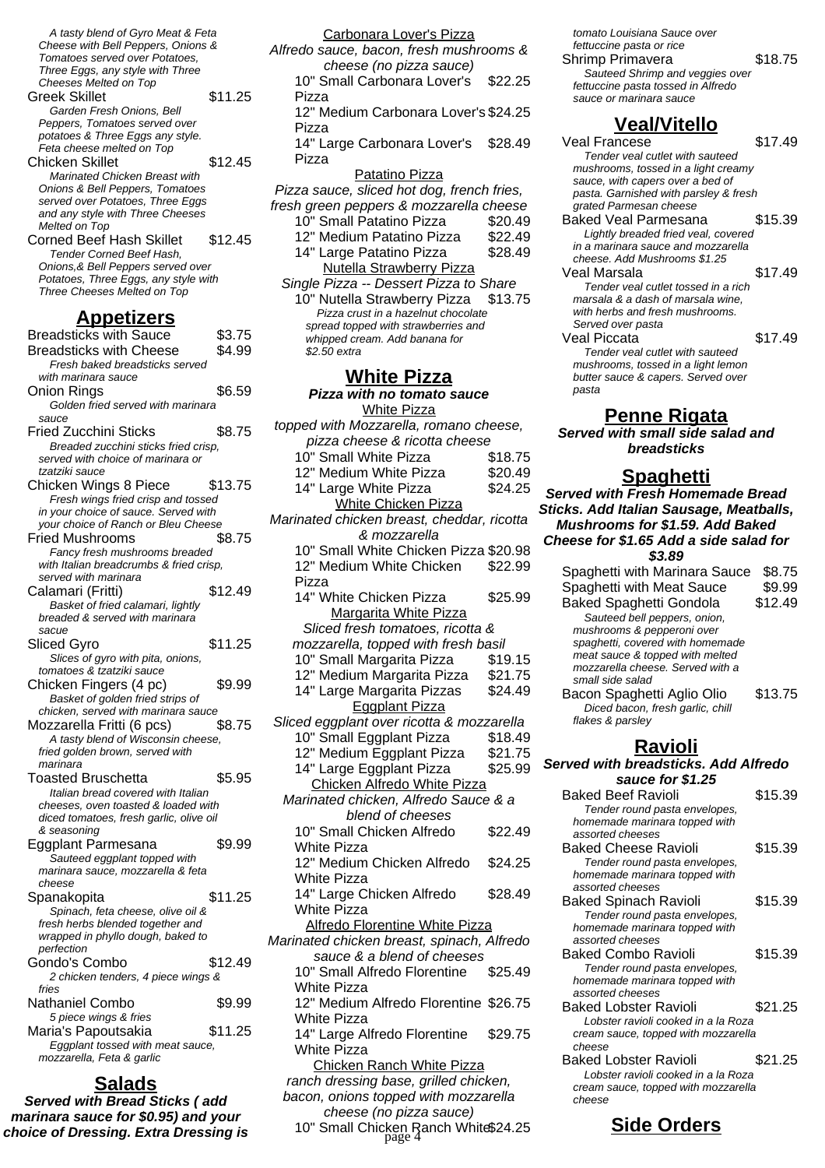A tasty blend of Gyro Meat & Feta Cheese with Bell Peppers, Onions & Tomatoes served over Potatoes, Three Eggs, any style with Three Cheeses Melted on Top Greek Skillet \$11.25 Garden Fresh Onions, Bell Peppers, Tomatoes served over potatoes & Three Eggs any style. .<br>Feta cheese melted on Top Chicken Skillet \$12.45 Marinated Chicken Breast with Onions & Bell Peppers, Tomatoes served over Potatoes, Three Eggs and any style with Three Cheeses Melted on Top Corned Beef Hash Skillet \$12.45 Tender Corned Beef Hash, Onions,& Bell Peppers served over

Potatoes, Three Eggs, any style with Three Cheeses Melted on Top

#### **Appetizers**

Breadsticks with Sauce \$3.75 Breadsticks with Cheese \$4.99 Fresh baked breadsticks served with marinara sauce Onion Rings \$6.59 Golden fried served with marinara sauce Fried Zucchini Sticks \$8.75 Breaded zucchini sticks fried crisp, served with choice of marinara or tzatziki sauce Chicken Wings 8 Piece \$13.75 Fresh wings fried crisp and tossed in your choice of sauce. Served with your choice of Ranch or Bleu Cheese Fried Mushrooms \$8.75 Fancy fresh mushrooms breaded with Italian breadcrumbs & fried crisp, served with marinara Calamari (Fritti) \$12.49 Basket of fried calamari, lightly breaded & served with marinara sacue Sliced Gyro \$11.25 Slices of gyro with pita, onions, tomatoes & tzatziki sauce Chicken Fingers (4 pc) \$9.99 Basket of golden fried strips of chicken, served with marinara sauce Mozzarella Fritti (6 pcs) \$8.75 A tasty blend of Wisconsin cheese, fried golden brown, served with marinara Toasted Bruschetta \$5.95 Italian bread covered with Italian cheeses, oven toasted & loaded with diced tomatoes, fresh garlic, olive oil & seasoning Eggplant Parmesana \$9.99 Sauteed eggplant topped with marinara sauce, mozzarella & feta cheese Spanakopita \$11.25 Spinach, feta cheese, olive oil & fresh herbs blended together and wrapped in phyllo dough, baked to perfection Gondo's Combo \$12.49 2 chicken tenders, 4 piece wings & fries Nathaniel Combo \$9.99 5 piece wings & fries Maria's Papoutsakia  $$11.25$ Eggplant tossed with meat sauce, mozzarella, Feta & garlic

### **Salads**

**Served with Bread Sticks ( add marinara sauce for \$0.95) and your choice of Dressing. Extra Dressing is**

Carbonara Lover's Pizza Alfredo sauce, bacon, fresh mushrooms & cheese (no pizza sauce) 10" Small Carbonara Lover's Pizza \$22.25 12" Medium Carbonara Lover's \$24.25 Pizza 14" Large Carbonara Lover's Pizza \$28.49 Patatino Pizza Pizza sauce, sliced hot dog, french fries, fresh green peppers & mozzarella cheese 10" Small Patatino Pizza \$20.49 12" Medium Patatino Pizza \$22.49 14" Large Patatino Pizza \$28.49 Nutella Strawberry Pizza Single Pizza -- Dessert Pizza to Share 10" Nutella Strawberry Pizza \$13.75 Pizza crust in a hazelnut chocolate spread topped with strawberries and whipped cream. Add banana for \$2.50 extra **White Pizza Pizza with no tomato sauce** White Pizza topped with Mozzarella, romano cheese, pizza cheese & ricotta cheese 10" Small White Pizza \$18.75<br>12" Medium White Pizza \$20.49 12" Medium White Pizza 14" Large White Pizza \$24.25 White Chicken Pizza Marinated chicken breast, cheddar, ricotta & mozzarella 10" Small White Chicken Pizza \$20.98 12" Medium White Chicken Pizza \$22.99 14" White Chicken Pizza \$25.99 Margarita White Pizza Sliced fresh tomatoes, ricotta & mozzarella, topped with fresh basil 10" Small Margarita Pizza \$19.15 12" Medium Margarita Pizza \$21.75 14" Large Margarita Pizzas \$24.49 Eggplant Pizza Sliced eggplant over ricotta & mozzarella 10" Small Eggplant Pizza \$18.49<br>12" Medium Eggplant Pizza \$21.75 12" Medium Eggplant Pizza 14" Large Eggplant Pizza \$25.99 Chicken Alfredo White Pizza Marinated chicken, Alfredo Sauce & a blend of cheeses 10" Small Chicken Alfredo White Pizza \$22.49 12" Medium Chicken Alfredo White Pizza \$24.25 14" Large Chicken Alfredo White Pizza \$28.49 Alfredo Florentine White Pizza Marinated chicken breast, spinach, Alfredo sauce & a blend of cheeses

10" Small Alfredo Florentine White Pizza \$25.49 12" Medium Alfredo Florentine \$26.75 White Pizza

14" Large Alfredo Florentine White Pizza \$29.75

Chicken Ranch White Pizza ranch dressing base, grilled chicken, bacon, onions topped with mozzarella cheese (no pizza sauce)

10" Small Chicken Ranch White\$24.25 **Side Orders** page 4

tomato Louisiana Sauce over fettuccine pasta or rice Shrimp Primavera \$18.75 Sauteed Shrimp and veggies over

fettuccine pasta tossed in Alfredo sauce or marinara sauce

### **Veal/Vitello**

Veal Francese \$17.49 Tender veal cutlet with sauteed mushrooms, tossed in a light creamy sauce, with capers over a bed of pasta. Garnished with parsley & fresh grated Parmesan cheese Baked Veal Parmesana \$15.39

Lightly breaded fried veal, covered in a marinara sauce and mozzarella cheese. Add Mushrooms \$1.25 Veal Marsala **\$17.49** 

Tender veal cutlet tossed in a rich marsala & a dash of marsala wine, with herbs and fresh mushrooms. Served over pasta

Veal Piccata **\$17.49** Tender veal cutlet with sauteed mushrooms, tossed in a light lemon butter sauce & capers. Served over pasta

#### **Penne Rigata**

**Served with small side salad and breadsticks**

# **Spaghetti**

**Served with Fresh Homemade Bread Sticks. Add Italian Sausage, Meatballs, Mushrooms for \$1.59. Add Baked Cheese for \$1.65 Add a side salad for \$3.89**

Spaghetti with Marinara Sauce \$8.75 Spaghetti with Meat Sauce \$9.99 Baked Spaghetti Gondola \$12.49 Sauteed bell peppers, onion, mushrooms & pepperoni over spaghetti, covered with homemade meat sauce & topped with melted mozzarella cheese. Served with a small side salad Bacon Spaghetti Aglio Olio \$13.75 Diced bacon, fresh garlic, chill flakes & parsley

# **Ravioli**

**Served with breadsticks. Add Alfredo sauce for \$1.25** Baked Beef Ravioli \$15.39 Tender round pasta envelopes, homemade marinara topped with assorted cheeses

Baked Cheese Ravioli \$15.39 Tender round pasta envelopes, homemade marinara topped with assorted cheeses Baked Spinach Ravioli \$15.39 Tender round pasta envelopes,

homemade marinara topped with assorted cheeses Baked Combo Ravioli \$15.39 Tender round pasta envelopes, homemade marinara topped with assorted cheeses

Baked Lobster Ravioli \$21.25 Lobster ravioli cooked in a la Roza cream sauce, topped with mozzarella cheese Baked Lobster Ravioli \$21.25

Lobster ravioli cooked in a la Roza cream sauce, topped with mozzarella cheese

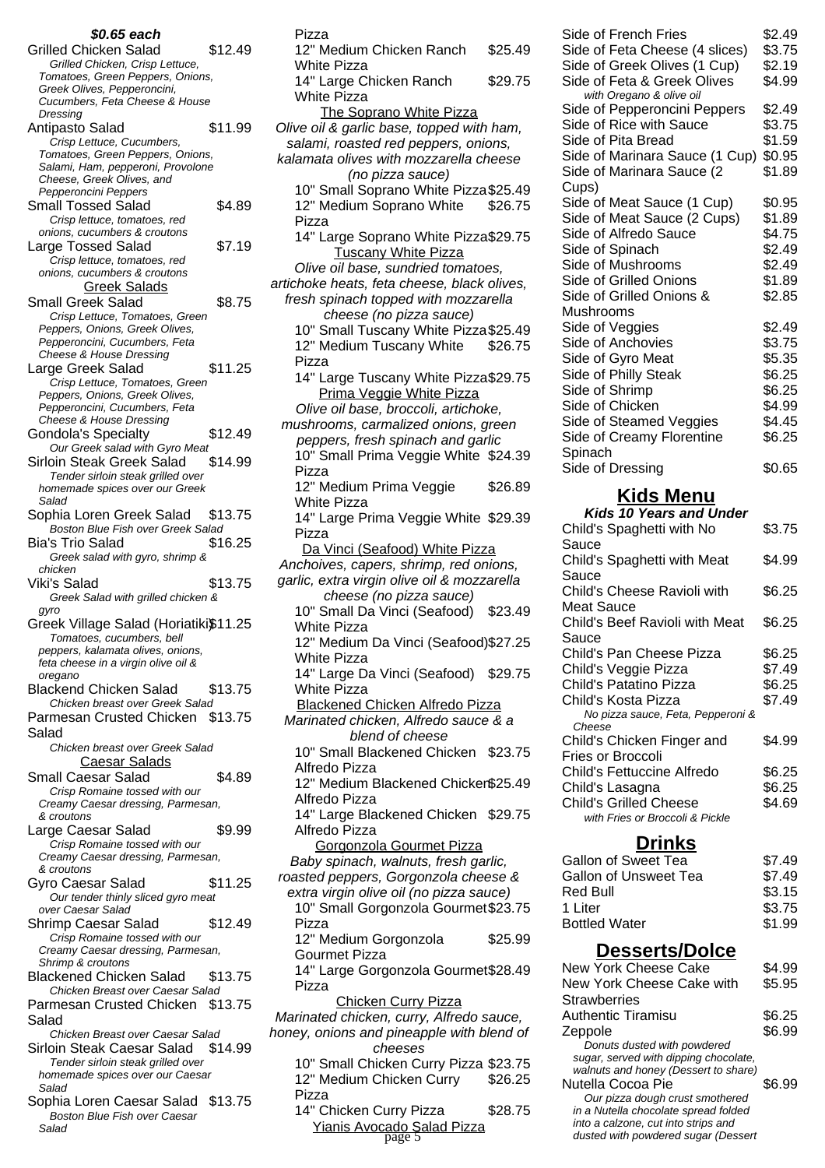| \$0.65 each                                                              |         |
|--------------------------------------------------------------------------|---------|
| <b>Grilled Chicken Salad</b>                                             | \$12.49 |
| Grilled Chicken, Crisp Lettuce,                                          |         |
| Tomatoes, Green Peppers, Onions,                                         |         |
| Greek Olives, Pepperoncini,<br>Cucumbers, Feta Cheese & House            |         |
| Dressing                                                                 |         |
| Antipasto Salad                                                          | \$11.99 |
| Crisp Lettuce, Cucumbers,                                                |         |
| Tomatoes, Green Peppers, Onions,                                         |         |
| Salami, Ham, pepperoni, Provolone                                        |         |
| Cheese, Greek Olives, and<br>Pepperoncini Peppers                        |         |
| <b>Small Tossed Salad</b>                                                | \$4.89  |
| Crisp lettuce, tomatoes, red                                             |         |
| onions, cucumbers & croutons                                             |         |
| Large Tossed Salad                                                       | \$7.19  |
| Crisp lettuce, tomatoes, red                                             |         |
| onions, cucumbers & croutons                                             |         |
| Greek Salads                                                             |         |
| <b>Small Greek Salad</b>                                                 | \$8.75  |
| Crisp Lettuce, Tomatoes, Green                                           |         |
| Peppers, Onions, Greek Olives,                                           |         |
| Pepperoncini, Cucumbers, Feta<br><b>Cheese &amp; House Dressing</b>      |         |
| Large Greek Salad                                                        | \$11.25 |
| Crisp Lettuce, Tomatoes, Green                                           |         |
| Peppers, Onions, Greek Olives,                                           |         |
| Pepperoncini, Cucumbers, Feta                                            |         |
| <b>Cheese &amp; House Dressing</b>                                       |         |
| <b>Gondola's Specialty</b>                                               | \$12.49 |
| Our Greek salad with Gyro Meat                                           |         |
| Sirloin Steak Greek Salad                                                | \$14.99 |
| Tender sirloin steak grilled over                                        |         |
| homemade spices over our Greek<br>Salad                                  |         |
| Sophia Loren Greek Salad                                                 | \$13.75 |
| <b>Boston Blue Fish over Greek Salad</b>                                 |         |
| Bia's Trio Salad                                                         | \$16.25 |
| Greek salad with gyro, shrimp &                                          |         |
| chicken                                                                  |         |
| Viki's Salad                                                             | \$13.75 |
| Greek Salad with grilled chicken &                                       |         |
| gyro                                                                     |         |
| Greek Village Salad (Horiatiki\$11.25                                    |         |
| Tomatoes, cucumbers, bell                                                |         |
| peppers, kalamata olives, onions,                                        |         |
| feta cheese in a virgin olive oil &<br>oregano                           |         |
| <b>Blackend Chicken Salad</b>                                            | \$13.75 |
| Chicken breast over Greek Salad                                          |         |
| Parmesan Crusted Chicken \$13.75                                         |         |
| Salad                                                                    |         |
| Chicken breast over Greek Salad                                          |         |
| <b>Caesar Salads</b>                                                     |         |
| <b>Small Caesar Salad</b>                                                | \$4.89  |
| Crisp Romaine tossed with our                                            |         |
| Creamy Caesar dressing, Parmesan,                                        |         |
| & croutons                                                               |         |
| Large Caesar Salad                                                       | \$9.99  |
| Crisp Romaine tossed with our                                            |         |
| Creamy Caesar dressing, Parmesan,                                        |         |
| & croutons<br>Gyro Caesar Salad                                          | \$11.25 |
| Our tender thinly sliced gyro meat                                       |         |
| over Caesar Salad                                                        |         |
| Shrimp Caesar Salad                                                      | \$12.49 |
| Crisp Romaine tossed with our                                            |         |
| Creamy Caesar dressing, Parmesan,                                        |         |
| Shrimp & croutons                                                        |         |
| <b>Blackened Chicken Salad</b>                                           |         |
| Chicken Breast over Caesar Salad                                         | \$13.75 |
|                                                                          |         |
| Parmesan Crusted Chicken \$13.75                                         |         |
| Salad                                                                    |         |
| Chicken Breast over Caesar Salad                                         |         |
| Sirloin Steak Caesar Salad \$14.99                                       |         |
| Tender sirloin steak grilled over                                        |         |
| homemade spices over our Caesar                                          |         |
| Salad                                                                    |         |
| Sophia Loren Caesar Salad \$13.75<br><b>Boston Blue Fish over Caesar</b> |         |

| 12" Medium Chicken Ranch                                                              | \$25.49 |
|---------------------------------------------------------------------------------------|---------|
| <b>White Pizza</b><br>14" Large Chicken Ranch                                         | \$29.75 |
| <b>White Pizza</b>                                                                    |         |
| The Soprano White Pizza<br>Olive oil & garlic base, topped with ham,                  |         |
| salami, roasted red peppers, onions,                                                  |         |
| kalamata olives with mozzarella cheese<br>(no pizza sauce)                            |         |
| 10" Small Soprano White Pizza \$25.49                                                 |         |
| 12" Medium Soprano White<br>Pizza                                                     | \$26.75 |
| 14" Large Soprano White Pizza\$29.75                                                  |         |
| <b>Tuscany White Pizza</b>                                                            |         |
| Olive oil base, sundried tomatoes,<br>artichoke heats, feta cheese, black olives,     |         |
| fresh spinach topped with mozzarella                                                  |         |
| cheese (no pizza sauce)                                                               |         |
| 10" Small Tuscany White Pizza \$25.49                                                 |         |
| 12" Medium Tuscany White<br>Pizza                                                     | \$26.75 |
| 14" Large Tuscany White Pizza\$29.75                                                  |         |
| Prima Veggie White Pizza                                                              |         |
| Olive oil base, broccoli, artichoke,<br>mushrooms, carmalized onions, green           |         |
| peppers, fresh spinach and garlic                                                     |         |
| 10" Small Prima Veggie White \$24.39                                                  |         |
| Pizza                                                                                 |         |
| 12" Medium Prima Veggie<br>White Pizza                                                | \$26.89 |
| 14" Large Prima Veggie White \$29.39                                                  |         |
| Pizza                                                                                 |         |
| Da Vinci (Seafood) White Pizza                                                        |         |
| Anchoives, capers, shrimp, red onions,<br>garlic, extra virgin olive oil & mozzarella |         |
| cheese (no pizza sauce)                                                               |         |
| 10" Small Da Vinci (Seafood) \$23.49                                                  |         |
| White Pizza<br>12" Medium Da Vinci (Seafood) \$27.25                                  |         |
| <b>White Pizza</b>                                                                    |         |
| 14" Large Da Vinci (Seafood) \$29.75                                                  |         |
| <b>White Pizza</b><br>Blackened Chicken Alfredo Pizza                                 |         |
| Marinated chicken, Alfredo sauce & a                                                  |         |
| blend of cheese                                                                       |         |
| 10" Small Blackened Chicken \$23.75                                                   |         |
| Alfredo Pizza<br>12" Medium Blackened Chicker\$25.49                                  |         |
| Alfredo Pizza                                                                         |         |
| 14" Large Blackened Chicken \$29.75<br>Alfredo Pizza                                  |         |
| Gorgonzola Gourmet Pizza                                                              |         |
| Baby spinach, walnuts, fresh garlic,                                                  |         |
| roasted peppers, Gorgonzola cheese &                                                  |         |
| extra virgin olive oil (no pizza sauce)<br>10" Small Gorgonzola Gourmet \$23.75       |         |
| Pizza                                                                                 |         |
| 12" Medium Gorgonzola                                                                 | \$25.99 |
| <b>Gourmet Pizza</b><br>14" Large Gorgonzola Gourmet \$28.49                          |         |
| Pizza                                                                                 |         |
| <b>Chicken Curry Pizza</b><br>Marinated chicken, curry, Alfredo sauce,                |         |
| honey, onions and pineapple with blend of<br>cheeses                                  |         |
| 10" Small Chicken Curry Pizza \$23.75                                                 |         |
| 12" Medium Chicken Curry                                                              | \$26.25 |
| Pizza                                                                                 |         |
| 14" Chicken Curry Pizza<br>Yianis Avocado Salad Pizza                                 | \$28.75 |
|                                                                                       |         |

Pizza

| Side of French Fries<br>Side of Feta Cheese (4 slices) | \$2.49<br>\$3.75 |
|--------------------------------------------------------|------------------|
| Side of Greek Olives (1 Cup)                           | \$2.19           |
| Side of Feta & Greek Olives                            | \$4.99           |
| with Oregano & olive oil                               |                  |
| Side of Pepperoncini Peppers                           | \$2.49           |
| Side of Rice with Sauce                                | \$3.75           |
| Side of Pita Bread                                     | \$1.59           |
| Side of Marinara Sauce (1 Cup)                         | \$0.95           |
| Side of Marinara Sauce (2                              | \$1.89           |
| Cups)                                                  |                  |
| Side of Meat Sauce (1 Cup)                             | \$0.95           |
| Side of Meat Sauce (2 Cups)                            | \$1.89           |
| Side of Alfredo Sauce                                  | \$4.75           |
| Side of Spinach                                        | \$2.49           |
| Side of Mushrooms                                      | \$2.49           |
| Side of Grilled Onions                                 | \$1.89           |
| Side of Grilled Onions &                               | \$2.85           |
| Mushrooms                                              |                  |
| Side of Veggies                                        | \$2.49           |
| Side of Anchovies                                      | \$3.75           |
| Side of Gyro Meat                                      | \$5.35           |
| Side of Philly Steak                                   | \$6.25           |
| Side of Shrimp                                         | \$6.25           |
| Side of Chicken                                        | \$4.99           |
| Side of Steamed Veggies                                | \$4.45           |
| Side of Creamy Florentine                              | \$6.25           |
| Spinach                                                |                  |
| Side of Dressing                                       | \$0.65           |
| Kida Man                                               |                  |

#### **Kids Menu**

| <b>Kids 10 Years and Under</b>    |        |
|-----------------------------------|--------|
| Child's Spaghetti with No         | \$3.75 |
| Sauce                             |        |
| Child's Spaghetti with Meat       | \$4.99 |
| Sauce                             |        |
| Child's Cheese Ravioli with       | \$6.25 |
| Meat Sauce                        |        |
| Child's Beef Ravioli with Meat    | \$6.25 |
| Sauce                             |        |
| Child's Pan Cheese Pizza          | \$6.25 |
| Child's Veggie Pizza              | \$7.49 |
| Child's Patatino Pizza            | \$6.25 |
| Child's Kosta Pizza               | \$7.49 |
| No pizza sauce, Feta, Pepperoni & |        |
| Cheese                            |        |
| Child's Chicken Finger and        | \$4.99 |
| Fries or Broccoli                 |        |
| Child's Fettuccine Alfredo        | \$6.25 |
| Child's Lasagna                   | \$6.25 |
| Child's Grilled Cheese            | \$4.69 |
| with Fries or Broccoli & Pickle   |        |
|                                   |        |

# **Drinks**

| Gallon of Sweet Tea   | \$7.49 |
|-----------------------|--------|
| Gallon of Unsweet Tea | \$7.49 |
| Red Bull              | \$3.15 |
| 1 Liter               | \$3.75 |
| <b>Bottled Water</b>  | \$1.99 |

# **Desserts/Dolce**

| gonzola Gourmet\$28.49                 |         | New York Cheese Cake                                                          | \$4.99 |
|----------------------------------------|---------|-------------------------------------------------------------------------------|--------|
|                                        |         | New York Cheese Cake with                                                     | \$5.95 |
| <u>Curry Pizza</u>                     |         | <b>Strawberries</b>                                                           |        |
| n, curry, Alfredo sauce,               |         | <b>Authentic Tiramisu</b>                                                     | \$6.25 |
| pineapple with blend of                |         | Zeppole                                                                       | \$6.99 |
| 1eeses                                 |         | Donuts dusted with powdered                                                   |        |
| ken Curry Pizza \$23.75                |         | sugar, served with dipping chocolate,<br>walnuts and honey (Dessert to share) |        |
| nicken Curry                           | \$26.25 | Nutella Cocoa Pie                                                             | \$6.99 |
| urry Pizza                             | \$28.75 | Our pizza dough crust smothered<br>in a Nutella chocolate spread folded       |        |
| <mark>ado Salad Pizza</mark><br>page 5 |         | into a calzone, cut into strips and<br>dusted with powdered sugar (Dessert    |        |
|                                        |         |                                                                               |        |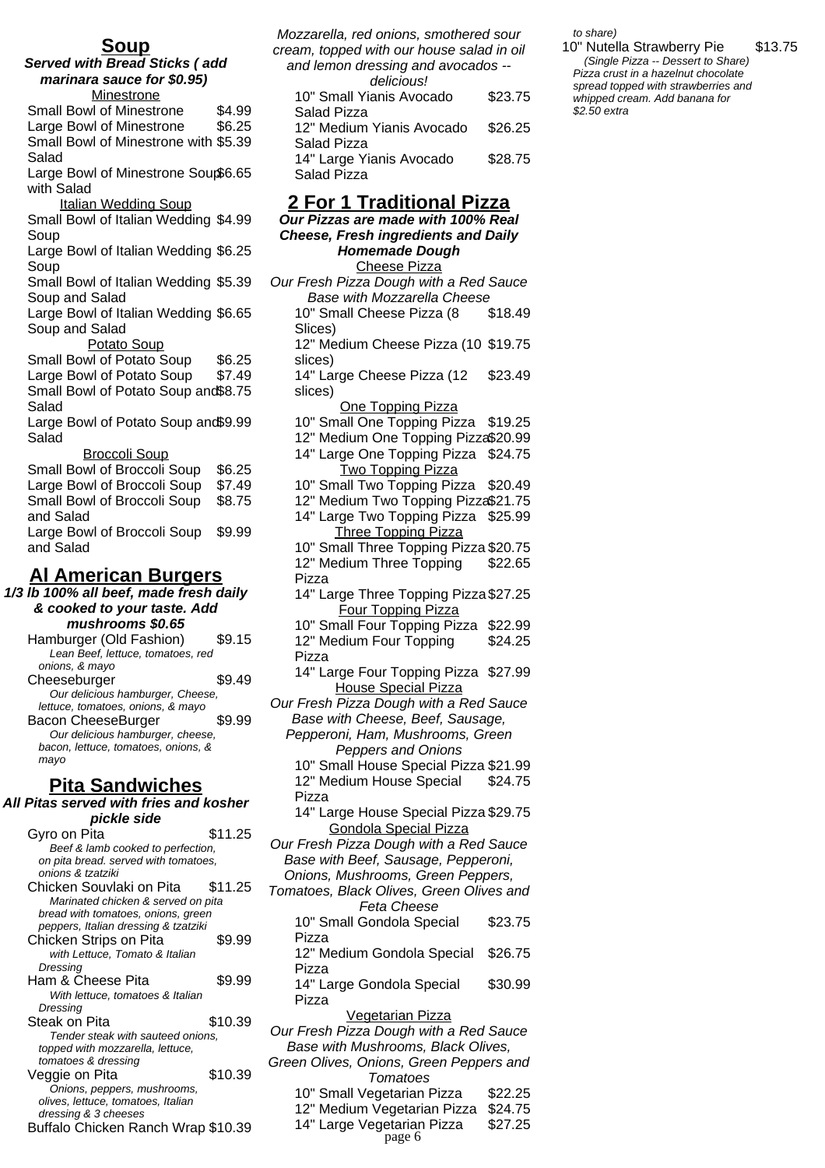### **Soup**

**Served with Bread Sticks ( add marinara sauce for \$0.95) Minestrone** Small Bowl of Minestrone \$4.99 Large Bowl of Minestrone \$6.25 Small Bowl of Minestrone with \$5.39 Salad Large Bowl of Minestrone Soup \$6.65 with Salad Italian Wedding Soup Small Bowl of Italian Wedding \$4.99 Soup Large Bowl of Italian Wedding \$6.25 Soup Small Bowl of Italian Wedding \$5.39 Soup and Salad Large Bowl of Italian Wedding \$6.65 Soup and Salad Potato Soup Small Bowl of Potato Soup \$6.25 Large Bowl of Potato Soup \$7.49 Small Bowl of Potato Soup and \$8.75 Salad Large Bowl of Potato Soup and \$9.99 Salad Broccoli Soup Small Bowl of Broccoli Soup \$6.25 Large Bowl of Broccoli Soup \$7.49 Small Bowl of Broccoli Soup and Salad \$8.75 Large Bowl of Broccoli Soup and Salad \$9.99 **Al American Burgers 1/3 lb 100% all beef, made fresh daily & cooked to your taste. Add mushrooms \$0.65** Hamburger (Old Fashion) \$9.15 Lean Beef, lettuce, tomatoes, red

onions, & mayo Cheeseburger \$9.49 Our delicious hamburger, Cheese, lettuce, tomatoes, onions, & mayo Bacon CheeseBurger \$9.99 Our delicious hamburger, cheese, bacon, lettuce, tomatoes, onions, & mayo

### **Pita Sandwiches**

#### **All Pitas served with fries and kosher pickle side**

| Gyro on Pita                         | \$11.25 |  |  |  |
|--------------------------------------|---------|--|--|--|
| Beef & lamb cooked to perfection,    |         |  |  |  |
| on pita bread. served with tomatoes, |         |  |  |  |
| onions & tzatziki                    |         |  |  |  |
| Chicken Souvlaki on Pita             | \$11.25 |  |  |  |
| Marinated chicken & served on pita   |         |  |  |  |
| bread with tomatoes, onions, green   |         |  |  |  |
| peppers, Italian dressing & tzatziki |         |  |  |  |
| Chicken Strips on Pita               | \$9.99  |  |  |  |
| with Lettuce, Tomato & Italian       |         |  |  |  |
| Dressing                             |         |  |  |  |
| Ham & Cheese Pita                    | \$9.99  |  |  |  |
| With lettuce, tomatoes & Italian     |         |  |  |  |
| Dressing                             |         |  |  |  |
| Steak on Pita                        | \$10.39 |  |  |  |
| Tender steak with sauteed onions,    |         |  |  |  |
| topped with mozzarella, lettuce,     |         |  |  |  |
| tomatoes & dressing                  |         |  |  |  |
| Veggie on Pita                       | \$10.39 |  |  |  |
| Onions, peppers, mushrooms,          |         |  |  |  |
| olives, lettuce, tomatoes, Italian   |         |  |  |  |
| dressing & 3 cheeses                 |         |  |  |  |
| Buffalo Chicken Ranch Wrap \$10.39   |         |  |  |  |
|                                      |         |  |  |  |

Mozzarella, red onions, smothered sour cream, topped with our house salad in oil and lemon dressing and avocados - delicious! 10" Small Yianis Avocado Salad Pizza \$23.75 12" Medium Yianis Avocado \$26.25

Salad Pizza 14" Large Yianis Avocado Salad Pizza \$28.75

#### **2 For 1 Traditional Pizza**

**Our Pizzas are made with 100% Real Cheese, Fresh ingredients and Daily Homemade Dough**

Cheese Pizza

Our Fresh Pizza Dough with a Red Sauce Base with Mozzarella Cheese 10" Small Cheese Pizza (8 Slices) \$18.49 12" Medium Cheese Pizza (10 \$19.75 slices) 14" Large Cheese Pizza (12 slices) \$23.49 One Topping Pizza 10" Small One Topping Pizza \$19.25 12" Medium One Topping Pizza\$20.99 14" Large One Topping Pizza \$24.75 **Two Topping Pizza** 10" Small Two Topping Pizza \$20.49 12" Medium Two Topping Pizza\$21.75 14" Large Two Topping Pizza \$25.99 Three Topping Pizza 10" Small Three Topping Pizza \$20.75 12" Medium Three Topping Pizza \$22.65 14" Large Three Topping Pizza \$27.25 Four Topping Pizza 10" Small Four Topping Pizza \$22.99 12" Medium Four Topping Pizza \$24.25 14" Large Four Topping Pizza \$27.99 House Special Pizza Our Fresh Pizza Dough with a Red Sauce Base with Cheese, Beef, Sausage, Pepperoni, Ham, Mushrooms, Green Peppers and Onions

10" Small House Special Pizza \$21.99 12" Medium House Special Pizza \$24.75

14" Large House Special Pizza \$29.75 Gondola Special Pizza

Our Fresh Pizza Dough with a Red Sauce Base with Beef, Sausage, Pepperoni, Onions, Mushrooms, Green Peppers,

- Tomatoes, Black Olives, Green Olives and Feta Cheese
- 10" Small Gondola Special Pizza \$23.75 12" Medium Gondola Special Pizza \$26.75 14" Large Gondola Special Pizza \$30.99 Vegetarian Pizza Our Fresh Pizza Dough with a Red Sauce Base with Mushrooms, Black Olives, Green Olives, Onions, Green Peppers and
	- Tomatoes
		- 10" Small Vegetarian Pizza \$22.25
		- 12" Medium Vegetarian Pizza \$24.75
		- 14" Large Vegetarian Pizza \$27.25 page 6

to share)

10" Nutella Strawberry Pie \$13.75 (Single Pizza -- Dessert to Share) Pizza crust in a hazelnut chocolate spread topped with strawberries and whipped cream. Add banana for \$2.50 extra